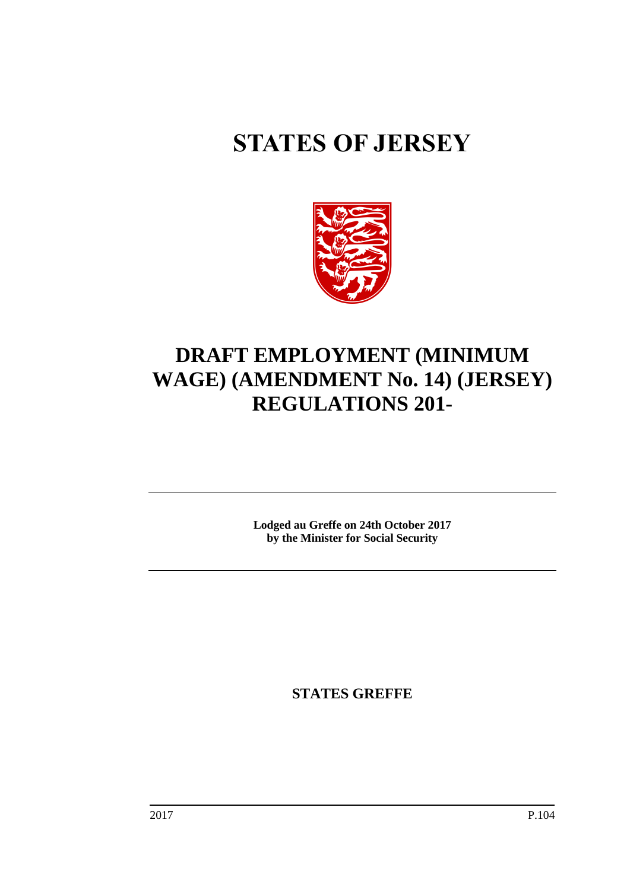# **STATES OF JERSEY**



## **DRAFT EMPLOYMENT (MINIMUM WAGE) (AMENDMENT No. 14) (JERSEY) REGULATIONS 201-**

**Lodged au Greffe on 24th October 2017 by the Minister for Social Security**

**STATES GREFFE**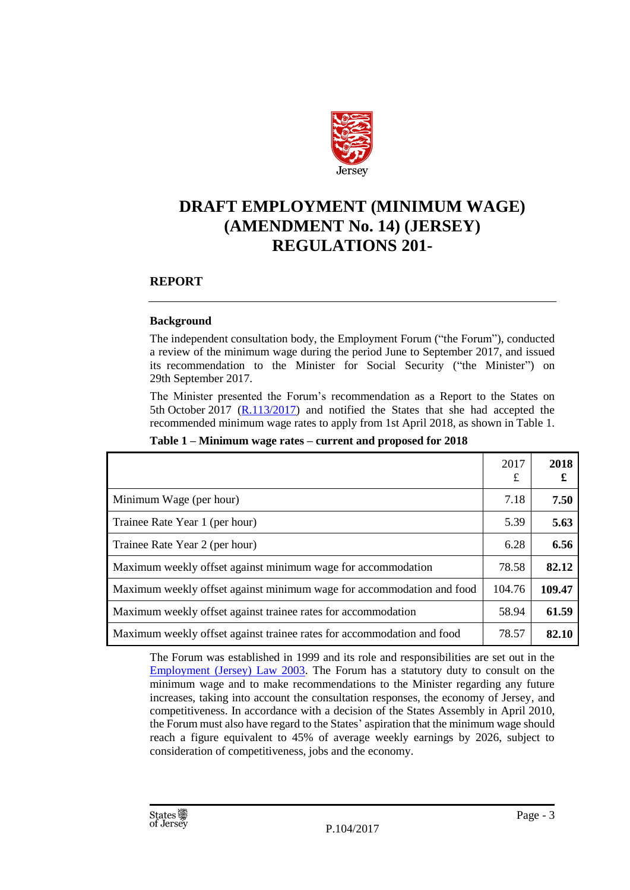

### **DRAFT EMPLOYMENT (MINIMUM WAGE) (AMENDMENT No. 14) (JERSEY) REGULATIONS 201-**

#### **REPORT**

#### **Background**

The independent consultation body, the Employment Forum ("the Forum"), conducted a review of the minimum wage during the period June to September 2017, and issued its recommendation to the Minister for Social Security ("the Minister") on 29th September 2017.

The Minister presented the Forum's recommendation as a Report to the States on 5th October 2017  $(R.113/2017)$  and notified the States that she had accepted the recommended minimum wage rates to apply from 1st April 2018, as shown in Table 1.

|                                                                        | 2017<br>£ | 2018<br>£ |
|------------------------------------------------------------------------|-----------|-----------|
| Minimum Wage (per hour)                                                | 7.18      | 7.50      |
| Trainee Rate Year 1 (per hour)                                         | 5.39      | 5.63      |
| Trainee Rate Year 2 (per hour)                                         | 6.28      | 6.56      |
| Maximum weekly offset against minimum wage for accommodation           | 78.58     | 82.12     |
| Maximum weekly offset against minimum wage for accommodation and food  | 104.76    | 109.47    |
| Maximum weekly offset against trainee rates for accommodation          | 58.94     | 61.59     |
| Maximum weekly offset against trainee rates for accommodation and food | 78.57     | 82.10     |

#### **Table 1 – Minimum wage rates – current and proposed for 2018**

The Forum was established in 1999 and its role and responsibilities are set out in the [Employment \(Jersey\) Law 2003.](https://www.jerseylaw.je/laws/revised/Pages/05.255.aspx) The Forum has a statutory duty to consult on the minimum wage and to make recommendations to the Minister regarding any future increases, taking into account the consultation responses, the economy of Jersey, and competitiveness. In accordance with a decision of the States Assembly in April 2010, the Forum must also have regard to the States' aspiration that the minimum wage should reach a figure equivalent to 45% of average weekly earnings by 2026, subject to consideration of competitiveness, jobs and the economy.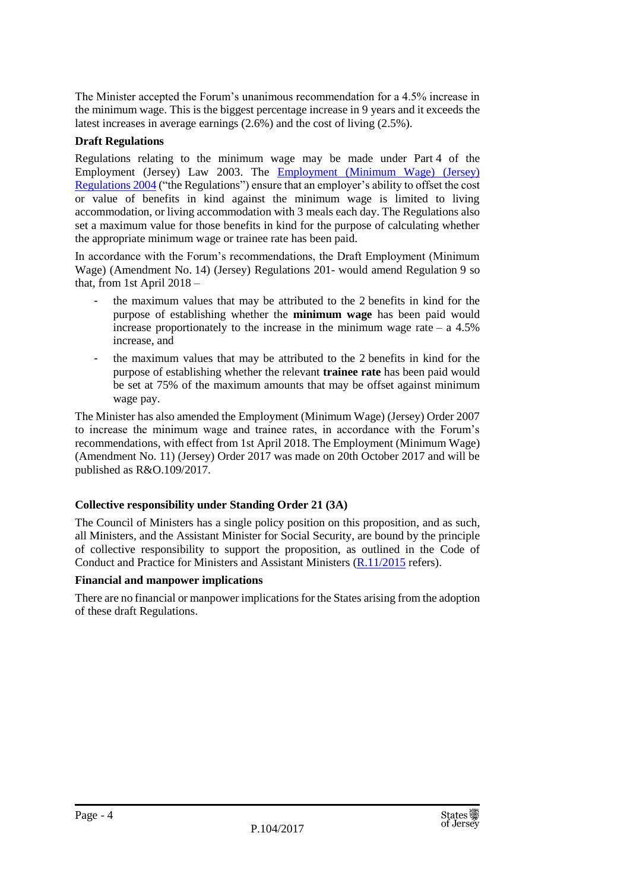The Minister accepted the Forum's unanimous recommendation for a 4.5% increase in the minimum wage. This is the biggest percentage increase in 9 years and it exceeds the latest increases in average earnings (2.6%) and the cost of living (2.5%).

#### **Draft Regulations**

Regulations relating to the minimum wage may be made under Part 4 of the Employment (Jersey) Law 2003. The [Employment \(Minimum Wage\) \(Jersey\)](https://www.jerseylaw.je/laws/revised/Pages/05.255.45.aspx)  [Regulations 2004](https://www.jerseylaw.je/laws/revised/Pages/05.255.45.aspx) ("the Regulations") ensure that an employer's ability to offset the cost or value of benefits in kind against the minimum wage is limited to living accommodation, or living accommodation with 3 meals each day. The Regulations also set a maximum value for those benefits in kind for the purpose of calculating whether the appropriate minimum wage or trainee rate has been paid.

In accordance with the Forum's recommendations, the Draft Employment (Minimum Wage) (Amendment No. 14) (Jersey) Regulations 201- would amend Regulation 9 so that, from 1st April 2018 –

- the maximum values that may be attributed to the 2 benefits in kind for the purpose of establishing whether the **minimum wage** has been paid would increase proportionately to the increase in the minimum wage rate – a  $4.5\%$ increase, and
- the maximum values that may be attributed to the 2 benefits in kind for the purpose of establishing whether the relevant **trainee rate** has been paid would be set at 75% of the maximum amounts that may be offset against minimum wage pay.

The Minister has also amended the Employment (Minimum Wage) (Jersey) Order 2007 to increase the minimum wage and trainee rates, in accordance with the Forum's recommendations, with effect from 1st April 2018. The Employment (Minimum Wage) (Amendment No. 11) (Jersey) Order 2017 was made on 20th October 2017 and will be published as R&O.109/2017.

#### **Collective responsibility under Standing Order 21 (3A)**

The Council of Ministers has a single policy position on this proposition, and as such, all Ministers, and the Assistant Minister for Social Security, are bound by the principle of collective responsibility to support the proposition, as outlined in the Code of Conduct and Practice for Ministers and Assistant Ministers [\(R.11/2015](http://www.statesassembly.gov.je/AssemblyReports/2015/R.11-2015.pdf) refers).

#### **Financial and manpower implications**

There are no financial or manpower implications for the States arising from the adoption of these draft Regulations.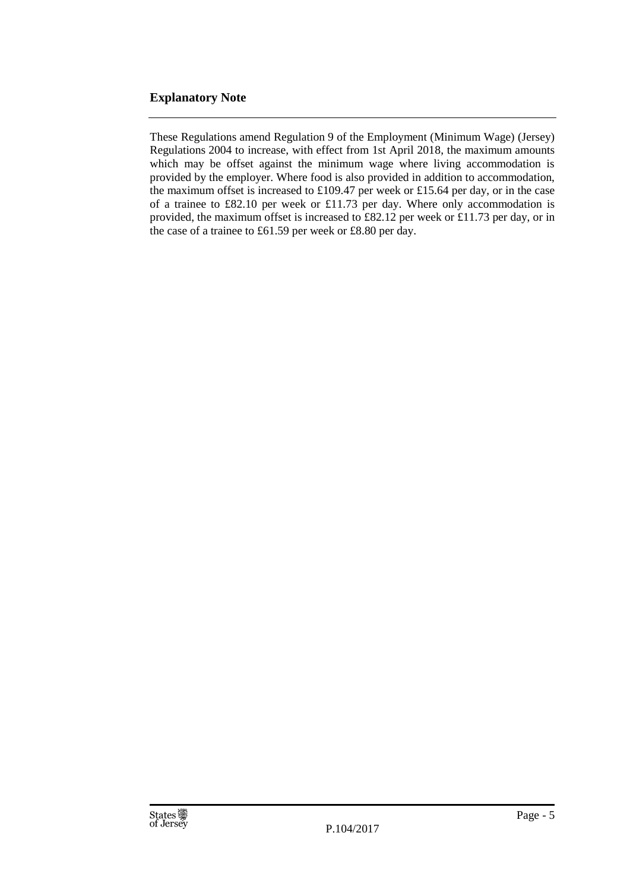#### **Explanatory Note**

These Regulations amend Regulation 9 of the Employment (Minimum Wage) (Jersey) Regulations 2004 to increase, with effect from 1st April 2018, the maximum amounts which may be offset against the minimum wage where living accommodation is provided by the employer. Where food is also provided in addition to accommodation, the maximum offset is increased to £109.47 per week or £15.64 per day, or in the case of a trainee to £82.10 per week or £11.73 per day. Where only accommodation is provided, the maximum offset is increased to £82.12 per week or £11.73 per day, or in the case of a trainee to £61.59 per week or £8.80 per day.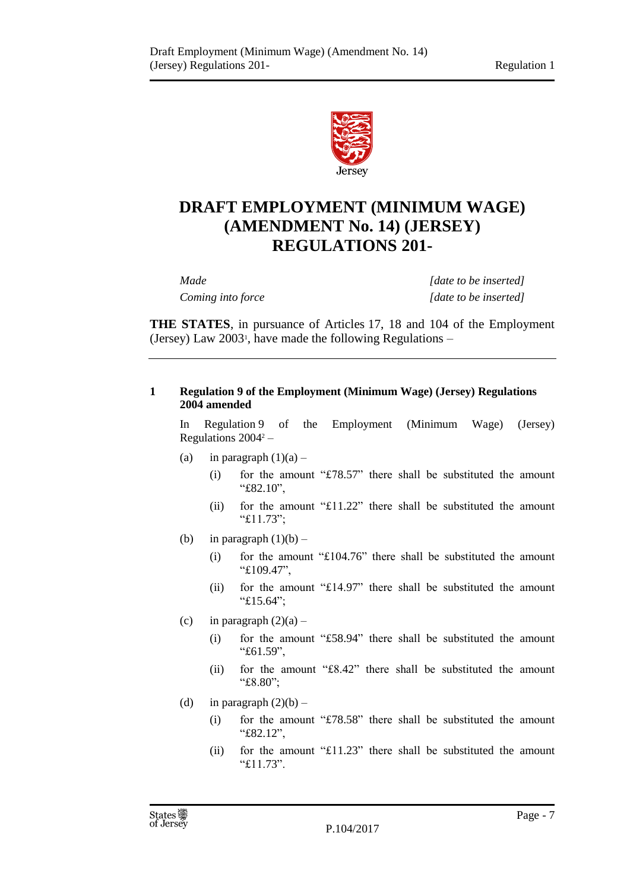

## **DRAFT EMPLOYMENT (MINIMUM WAGE) (AMENDMENT No. 14) (JERSEY) REGULATIONS 201-**

*Made [date to be inserted] Coming into force [date to be inserted]*

**THE STATES**, in pursuance of Articles 17, 18 and 104 of the Employment (Jersey) Law 2003<sup>1</sup> , have made the following Regulations –

#### **1 Regulation 9 of the Employment (Minimum Wage) (Jersey) Regulations 2004 amended**

In Regulation 9 of the Employment (Minimum Wage) (Jersey) Regulations 2004<sup>2</sup> –

- (a) in paragraph  $(1)(a)$ 
	- (i) for the amount "£78.57" there shall be substituted the amount "£82.10",
	- (ii) for the amount "£11.22" there shall be substituted the amount "£11.73";
- (b) in paragraph  $(1)(b)$ 
	- (i) for the amount "£104.76" there shall be substituted the amount "£109.47",
	- (ii) for the amount "£14.97" there shall be substituted the amount "£15.64";
- (c) in paragraph  $(2)(a)$ 
	- (i) for the amount "£58.94" there shall be substituted the amount "£61.59",
	- (ii) for the amount "£8.42" there shall be substituted the amount "£8.80";
- (d) in paragraph  $(2)(b)$ 
	- (i) for the amount "£78.58" there shall be substituted the amount "£82.12",
	- (ii) for the amount "£11.23" there shall be substituted the amount "£11.73".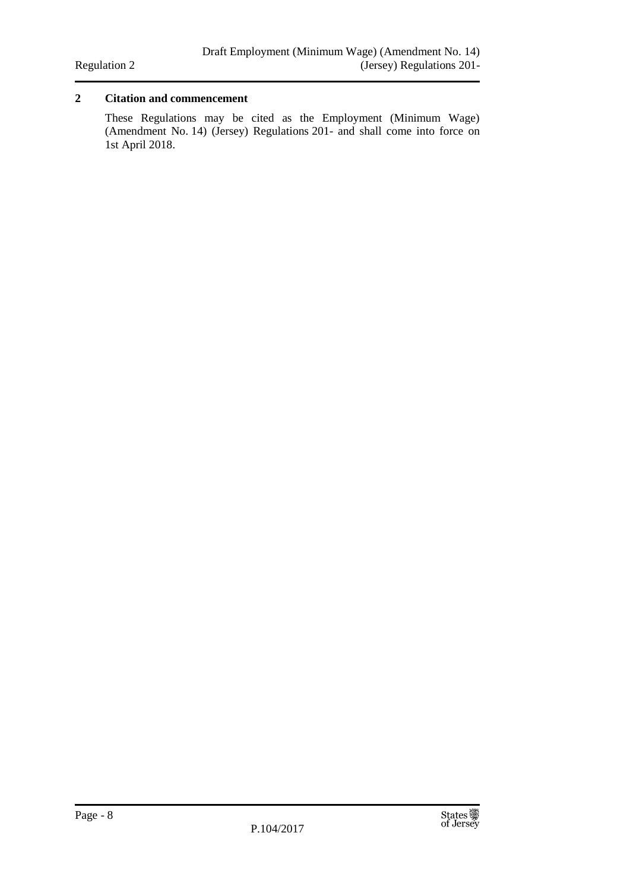#### **2 Citation and commencement**

These Regulations may be cited as the Employment (Minimum Wage) (Amendment No. 14) (Jersey) Regulations 201- and shall come into force on 1st April 2018.